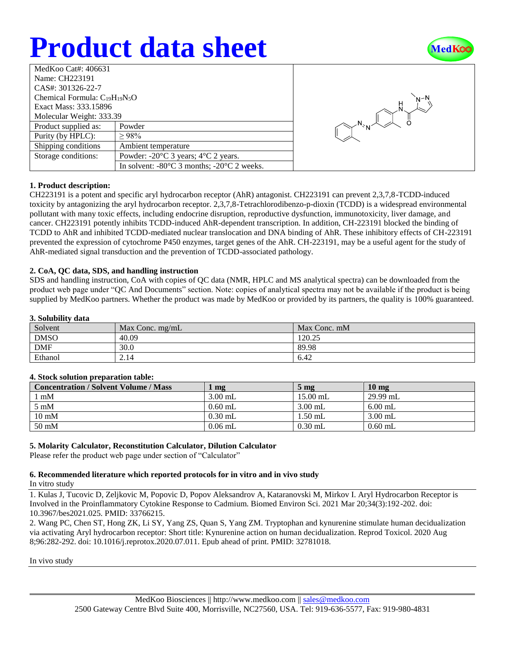# **Product data sheet**



| MedKoo Cat#: 406631                  |                                                                |  |  |  |
|--------------------------------------|----------------------------------------------------------------|--|--|--|
| Name: CH223191                       |                                                                |  |  |  |
| CAS#: 301326-22-7                    |                                                                |  |  |  |
| Chemical Formula: $C_{19}H_{19}N_5O$ |                                                                |  |  |  |
| Exact Mass: 333.15896                |                                                                |  |  |  |
| Molecular Weight: 333.39             |                                                                |  |  |  |
| Product supplied as:                 | Powder                                                         |  |  |  |
| Purity (by HPLC):                    | >98%                                                           |  |  |  |
| Shipping conditions                  | Ambient temperature                                            |  |  |  |
| Storage conditions:                  | Powder: $-20^{\circ}$ C 3 years; $4^{\circ}$ C 2 years.        |  |  |  |
|                                      | In solvent: $-80^{\circ}$ C 3 months; $-20^{\circ}$ C 2 weeks. |  |  |  |



## **1. Product description:**

CH223191 is a potent and specific aryl hydrocarbon receptor (AhR) antagonist. CH223191 can prevent 2,3,7,8-TCDD-induced toxicity by antagonizing the aryl hydrocarbon receptor. 2,3,7,8-Tetrachlorodibenzo-p-dioxin (TCDD) is a widespread environmental pollutant with many toxic effects, including endocrine disruption, reproductive dysfunction, immunotoxicity, liver damage, and cancer. CH223191 potently inhibits TCDD-induced AhR-dependent transcription. In addition, CH-223191 blocked the binding of TCDD to AhR and inhibited TCDD-mediated nuclear translocation and DNA binding of AhR. These inhibitory effects of CH-223191 prevented the expression of cytochrome P450 enzymes, target genes of the AhR. CH-223191, may be a useful agent for the study of AhR-mediated signal transduction and the prevention of TCDD-associated pathology.

## **2. CoA, QC data, SDS, and handling instruction**

SDS and handling instruction, CoA with copies of QC data (NMR, HPLC and MS analytical spectra) can be downloaded from the product web page under "QC And Documents" section. Note: copies of analytical spectra may not be available if the product is being supplied by MedKoo partners. Whether the product was made by MedKoo or provided by its partners, the quality is 100% guaranteed.

## **3. Solubility data**

| $\cdots$<br>------- |                   |              |  |  |
|---------------------|-------------------|--------------|--|--|
| Solvent             | Max Conc. $mg/mL$ | Max Conc. mM |  |  |
| <b>DMSO</b>         | 40.09             | 120.25       |  |  |
| <b>DMF</b>          | 30.0              | 89.98        |  |  |
| Ethanol             | 2.14              | 6.42         |  |  |

#### **4. Stock solution preparation table:**

| <b>Concentration / Solvent Volume / Mass</b> | mg        | $5 \text{ mg}$ | $10 \text{ mg}$ |
|----------------------------------------------|-----------|----------------|-----------------|
| $1 \text{ mM}$                               | $3.00$ mL | $15.00$ mL     | $29.99$ mL      |
| $5 \text{ mM}$                               | $0.60$ mL | $3.00$ mL      | $6.00$ mL       |
| $10 \text{ mM}$                              | $0.30$ mL | .50 mL         | $3.00$ mL       |
| $50 \text{ mM}$                              | $0.06$ mL | $0.30$ mL      | $0.60$ mL       |

## **5. Molarity Calculator, Reconstitution Calculator, Dilution Calculator**

Please refer the product web page under section of "Calculator"

## **6. Recommended literature which reported protocols for in vitro and in vivo study**

In vitro study

1. Kulas J, Tucovic D, Zeljkovic M, Popovic D, Popov Aleksandrov A, Kataranovski M, Mirkov I. Aryl Hydrocarbon Receptor is Involved in the Proinflammatory Cytokine Response to Cadmium. Biomed Environ Sci. 2021 Mar 20;34(3):192-202. doi: 10.3967/bes2021.025. PMID: 33766215.

2. Wang PC, Chen ST, Hong ZK, Li SY, Yang ZS, Quan S, Yang ZM. Tryptophan and kynurenine stimulate human decidualization via activating Aryl hydrocarbon receptor: Short title: Kynurenine action on human decidualization. Reprod Toxicol. 2020 Aug 8;96:282-292. doi: 10.1016/j.reprotox.2020.07.011. Epub ahead of print. PMID: 32781018.

In vivo study